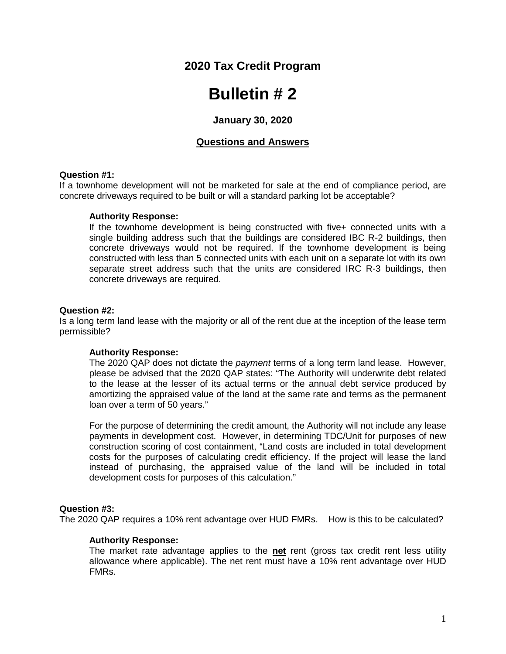# **2020 Tax Credit Program**

# **Bulletin # 2**

# **January 30, 2020**

# **Questions and Answers**

#### **Question #1:**

If a townhome development will not be marketed for sale at the end of compliance period, are concrete driveways required to be built or will a standard parking lot be acceptable?

#### **Authority Response:**

If the townhome development is being constructed with five+ connected units with a single building address such that the buildings are considered IBC R-2 buildings, then concrete driveways would not be required. If the townhome development is being constructed with less than 5 connected units with each unit on a separate lot with its own separate street address such that the units are considered IRC R-3 buildings, then concrete driveways are required.

#### **Question #2:**

Is a long term land lease with the majority or all of the rent due at the inception of the lease term permissible?

# **Authority Response:**

The 2020 QAP does not dictate the *payment* terms of a long term land lease. However, please be advised that the 2020 QAP states: "The Authority will underwrite debt related to the lease at the lesser of its actual terms or the annual debt service produced by amortizing the appraised value of the land at the same rate and terms as the permanent loan over a term of 50 years."

For the purpose of determining the credit amount, the Authority will not include any lease payments in development cost. However, in determining TDC/Unit for purposes of new construction scoring of cost containment, "Land costs are included in total development costs for the purposes of calculating credit efficiency. If the project will lease the land instead of purchasing, the appraised value of the land will be included in total development costs for purposes of this calculation."

# **Question #3:**

The 2020 QAP requires a 10% rent advantage over HUD FMRs. How is this to be calculated?

# **Authority Response:**

The market rate advantage applies to the **net** rent (gross tax credit rent less utility allowance where applicable). The net rent must have a 10% rent advantage over HUD FMRs.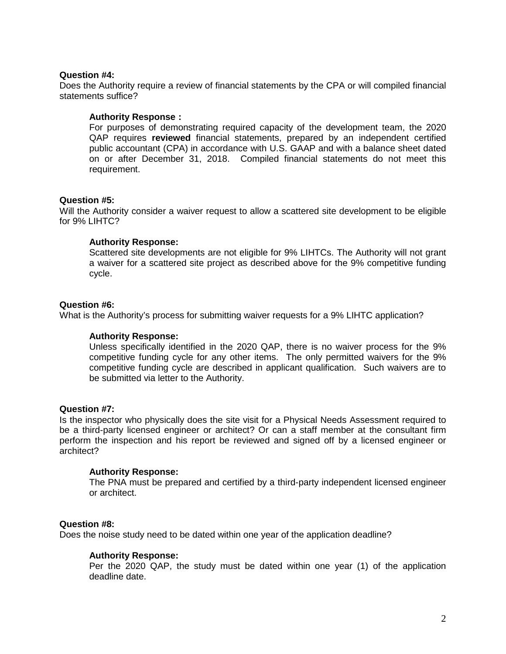# **Question #4:**

Does the Authority require a review of financial statements by the CPA or will compiled financial statements suffice?

# **Authority Response :**

For purposes of demonstrating required capacity of the development team, the 2020 QAP requires **reviewed** financial statements, prepared by an independent certified public accountant (CPA) in accordance with U.S. GAAP and with a balance sheet dated on or after December 31, 2018. Compiled financial statements do not meet this requirement.

# **Question #5:**

Will the Authority consider a waiver request to allow a scattered site development to be eligible for 9% LIHTC?

# **Authority Response:**

Scattered site developments are not eligible for 9% LIHTCs. The Authority will not grant a waiver for a scattered site project as described above for the 9% competitive funding cycle.

# **Question #6:**

What is the Authority's process for submitting waiver requests for a 9% LIHTC application?

# **Authority Response:**

Unless specifically identified in the 2020 QAP, there is no waiver process for the 9% competitive funding cycle for any other items. The only permitted waivers for the 9% competitive funding cycle are described in applicant qualification. Such waivers are to be submitted via letter to the Authority.

# **Question #7:**

Is the inspector who physically does the site visit for a Physical Needs Assessment required to be a third-party licensed engineer or architect? Or can a staff member at the consultant firm perform the inspection and his report be reviewed and signed off by a licensed engineer or architect?

# **Authority Response:**

The PNA must be prepared and certified by a third-party independent licensed engineer or architect.

# **Question #8:**

Does the noise study need to be dated within one year of the application deadline?

# **Authority Response:**

Per the 2020 QAP, the study must be dated within one year (1) of the application deadline date.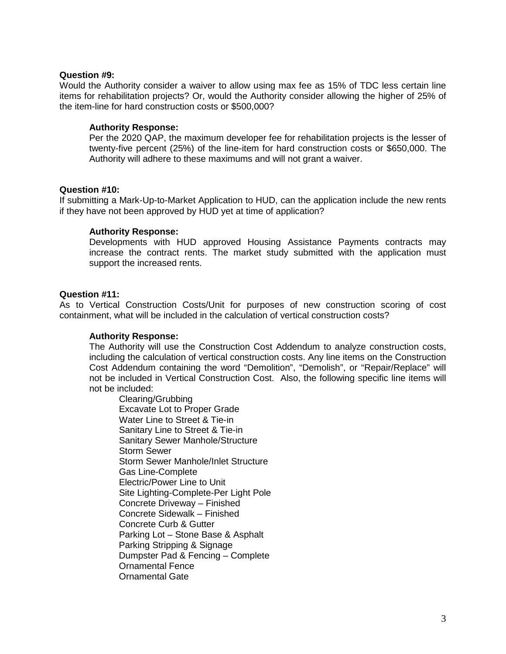# **Question #9:**

Would the Authority consider a waiver to allow using max fee as 15% of TDC less certain line items for rehabilitation projects? Or, would the Authority consider allowing the higher of 25% of the item-line for hard construction costs or \$500,000?

# **Authority Response:**

Per the 2020 QAP, the maximum developer fee for rehabilitation projects is the lesser of twenty-five percent (25%) of the line-item for hard construction costs or \$650,000. The Authority will adhere to these maximums and will not grant a waiver.

# **Question #10:**

If submitting a Mark-Up-to-Market Application to HUD, can the application include the new rents if they have not been approved by HUD yet at time of application?

# **Authority Response:**

Developments with HUD approved Housing Assistance Payments contracts may increase the contract rents. The market study submitted with the application must support the increased rents.

# **Question #11:**

As to Vertical Construction Costs/Unit for purposes of new construction scoring of cost containment, what will be included in the calculation of vertical construction costs?

# **Authority Response:**

The Authority will use the Construction Cost Addendum to analyze construction costs, including the calculation of vertical construction costs. Any line items on the Construction Cost Addendum containing the word "Demolition", "Demolish", or "Repair/Replace" will not be included in Vertical Construction Cost. Also, the following specific line items will not be included:

Clearing/Grubbing Excavate Lot to Proper Grade Water Line to Street & Tie-in Sanitary Line to Street & Tie-in Sanitary Sewer Manhole/Structure Storm Sewer Storm Sewer Manhole/Inlet Structure Gas Line-Complete Electric/Power Line to Unit Site Lighting-Complete-Per Light Pole Concrete Driveway – Finished Concrete Sidewalk – Finished Concrete Curb & Gutter Parking Lot – Stone Base & Asphalt Parking Stripping & Signage Dumpster Pad & Fencing – Complete Ornamental Fence Ornamental Gate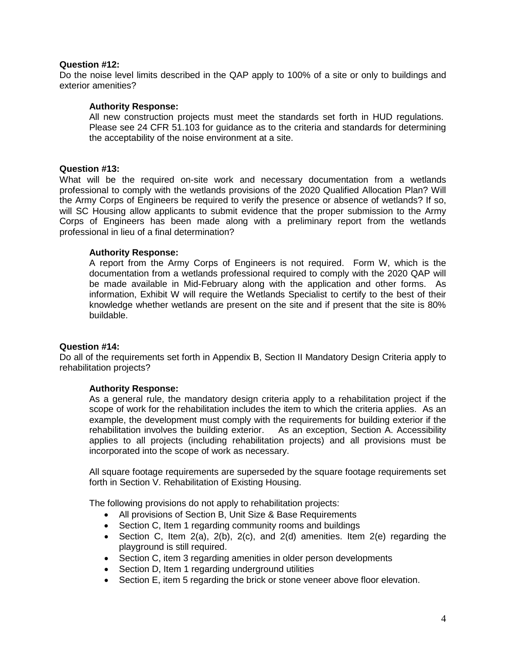# **Question #12:**

Do the noise level limits described in the QAP apply to 100% of a site or only to buildings and exterior amenities?

# **Authority Response:**

All new construction projects must meet the standards set forth in HUD regulations. Please see 24 CFR 51.103 for guidance as to the criteria and standards for determining the acceptability of the noise environment at a site.

# **Question #13:**

What will be the required on-site work and necessary documentation from a wetlands professional to comply with the wetlands provisions of the 2020 Qualified Allocation Plan? Will the Army Corps of Engineers be required to verify the presence or absence of wetlands? If so, will SC Housing allow applicants to submit evidence that the proper submission to the Army Corps of Engineers has been made along with a preliminary report from the wetlands professional in lieu of a final determination?

# **Authority Response:**

A report from the Army Corps of Engineers is not required. Form W, which is the documentation from a wetlands professional required to comply with the 2020 QAP will be made available in Mid-February along with the application and other forms. As information, Exhibit W will require the Wetlands Specialist to certify to the best of their knowledge whether wetlands are present on the site and if present that the site is 80% buildable.

# **Question #14:**

Do all of the requirements set forth in Appendix B, Section II Mandatory Design Criteria apply to rehabilitation projects?

# **Authority Response:**

As a general rule, the mandatory design criteria apply to a rehabilitation project if the scope of work for the rehabilitation includes the item to which the criteria applies. As an example, the development must comply with the requirements for building exterior if the rehabilitation involves the building exterior. As an exception, Section A. Accessibility applies to all projects (including rehabilitation projects) and all provisions must be incorporated into the scope of work as necessary.

All square footage requirements are superseded by the square footage requirements set forth in Section V. Rehabilitation of Existing Housing.

The following provisions do not apply to rehabilitation projects:

- All provisions of Section B, Unit Size & Base Requirements
- Section C, Item 1 regarding community rooms and buildings
- Section C, Item 2(a), 2(b), 2(c), and 2(d) amenities. Item 2(e) regarding the playground is still required.
- Section C, item 3 regarding amenities in older person developments
- Section D, Item 1 regarding underground utilities
- Section E, item 5 regarding the brick or stone veneer above floor elevation.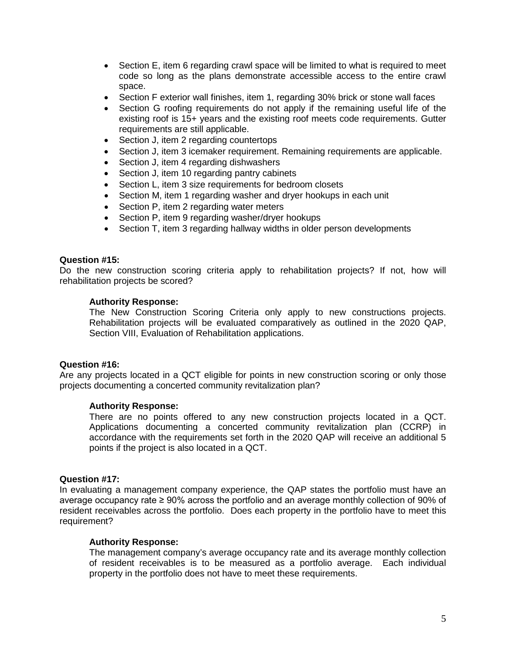- Section E, item 6 regarding crawl space will be limited to what is required to meet code so long as the plans demonstrate accessible access to the entire crawl space.
- Section F exterior wall finishes, item 1, regarding 30% brick or stone wall faces
- Section G roofing requirements do not apply if the remaining useful life of the existing roof is 15+ years and the existing roof meets code requirements. Gutter requirements are still applicable.
- Section J, item 2 regarding countertops
- Section J, item 3 icemaker requirement. Remaining requirements are applicable.
- Section J, item 4 regarding dishwashers
- Section J, item 10 regarding pantry cabinets
- Section L, item 3 size requirements for bedroom closets
- Section M, item 1 regarding washer and dryer hookups in each unit
- Section P, item 2 regarding water meters
- Section P, item 9 regarding washer/dryer hookups
- Section T, item 3 regarding hallway widths in older person developments

# **Question #15:**

Do the new construction scoring criteria apply to rehabilitation projects? If not, how will rehabilitation projects be scored?

#### **Authority Response:**

The New Construction Scoring Criteria only apply to new constructions projects. Rehabilitation projects will be evaluated comparatively as outlined in the 2020 QAP, Section VIII, Evaluation of Rehabilitation applications.

# **Question #16:**

Are any projects located in a QCT eligible for points in new construction scoring or only those projects documenting a concerted community revitalization plan?

# **Authority Response:**

There are no points offered to any new construction projects located in a QCT. Applications documenting a concerted community revitalization plan (CCRP) in accordance with the requirements set forth in the 2020 QAP will receive an additional 5 points if the project is also located in a QCT.

# **Question #17:**

In evaluating a management company experience, the QAP states the portfolio must have an average occupancy rate ≥ 90% across the portfolio and an average monthly collection of 90% of resident receivables across the portfolio. Does each property in the portfolio have to meet this requirement?

# **Authority Response:**

The management company's average occupancy rate and its average monthly collection of resident receivables is to be measured as a portfolio average. Each individual property in the portfolio does not have to meet these requirements.